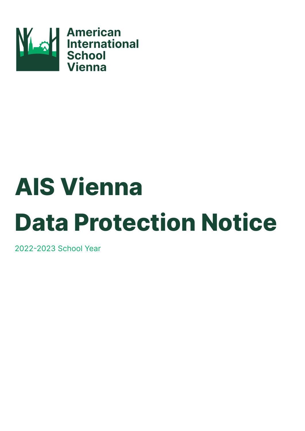

# **AIS Vienna Data Protection Notice**

2022-2023 School Year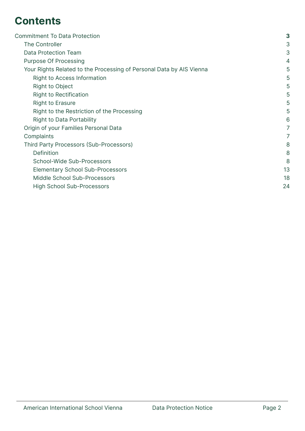# **Contents**

| <b>Commitment To Data Protection</b>                                 | 3              |
|----------------------------------------------------------------------|----------------|
| The Controller                                                       | 3              |
| Data Protection Team                                                 | 3              |
| <b>Purpose Of Processing</b>                                         | 4              |
| Your Rights Related to the Processing of Personal Data by AIS Vienna | 5              |
| Right to Access Information                                          | 5              |
| <b>Right to Object</b>                                               | 5              |
| <b>Right to Rectification</b>                                        | 5              |
| <b>Right to Erasure</b>                                              | 5              |
| Right to the Restriction of the Processing                           | 5              |
| <b>Right to Data Portability</b>                                     | 6              |
| Origin of your Families Personal Data                                | $\overline{7}$ |
| Complaints                                                           | $\overline{7}$ |
| Third Party Processors (Sub-Processors)                              | 8              |
| Definition                                                           | 8              |
| School-Wide Sub-Processors                                           | 8              |
| <b>Elementary School Sub-Processors</b>                              | 13             |
| Middle School Sub-Processors                                         | 18             |
| <b>High School Sub-Processors</b>                                    | 24             |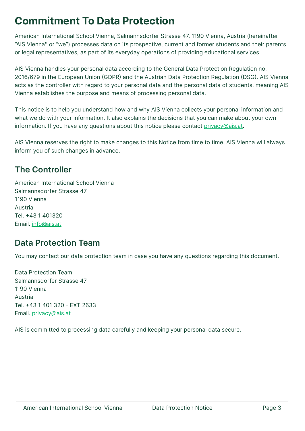# <span id="page-2-0"></span>**Commitment To Data Protection**

American International School Vienna, Salmannsdorfer Strasse 47, 1190 Vienna, Austria (hereinafter "AIS Vienna'' or "we") processes data on its prospective, current and former students and their parents or legal representatives, as part of its everyday operations of providing educational services.

AIS Vienna handles your personal data according to the General Data Protection Regulation no. 2016/679 in the European Union (GDPR) and the Austrian Data Protection Regulation (DSG). AIS Vienna acts as the controller with regard to your personal data and the personal data of students, meaning AIS Vienna establishes the purpose and means of processing personal data.

This notice is to help you understand how and why AIS Vienna collects your personal information and what we do with your information. It also explains the decisions that you can make about your own information. If you have any questions about this notice please contact [privacy@ais.at.](mailto:privacy@ais.at)

AIS Vienna reserves the right to make changes to this Notice from time to time. AIS Vienna will always inform you of such changes in advance.

## <span id="page-2-1"></span>**The Controller**

American International School Vienna Salmannsdorfer Strasse 47 1190 Vienna Austria Tel. +43 1 401320 Email. [info@ais.at](mailto:info@ais.at)

## <span id="page-2-2"></span>**Data Protection Team**

You may contact our data protection team in case you have any questions regarding this document.

Data Protection Team Salmannsdorfer Strasse 47 1190 Vienna Austria Tel. +43 1 401 320 - EXT 2633 Email. [privacy@ais.at](mailto:privacy@ais.at)

AIS is committed to processing data carefully and keeping your personal data secure.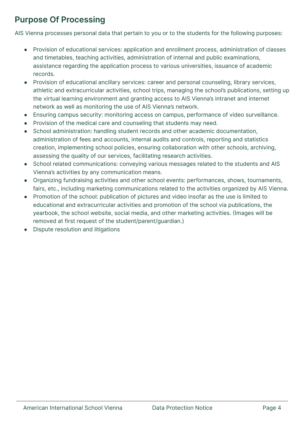# <span id="page-3-0"></span>**Purpose Of Processing**

AIS Vienna processes personal data that pertain to you or to the students for the following purposes:

- Provision of educational services: application and enrollment process, administration of classes and timetables, teaching activities, administration of internal and public examinations, assistance regarding the application process to various universities, issuance of academic records.
- Provision of educational ancillary services: career and personal counseling, library services, athletic and extracurricular activities, school trips, managing the school's publications, setting up the virtual learning environment and granting access to AIS Vienna's intranet and internet network as well as monitoring the use of AIS Vienna's network.
- Ensuring campus security: monitoring access on campus, performance of video surveillance.
- Provision of the medical care and counseling that students may need.
- School administration: handling student records and other academic documentation, administration of fees and accounts, internal audits and controls, reporting and statistics creation, implementing school policies, ensuring collaboration with other schools, archiving, assessing the quality of our services, facilitating research activities.
- School related communications: conveying various messages related to the students and AIS Vienna's activities by any communication means.
- Organizing fundraising activities and other school events: performances, shows, tournaments, fairs, etc., including marketing communications related to the activities organized by AIS Vienna.
- Promotion of the school: publication of pictures and video insofar as the use is limited to educational and extracurricular activities and promotion of the school via publications, the yearbook, the school website, social media, and other marketing activities. (Images will be removed at first request of the student/parent/guardian.)
- Dispute resolution and litigations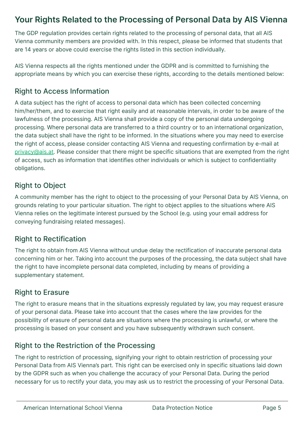## <span id="page-4-0"></span>**Your Rights Related to the Processing of Personal Data by AIS Vienna**

The GDP regulation provides certain rights related to the processing of personal data, that all AIS Vienna community members are provided with. In this respect, please be informed that students that are 14 years or above could exercise the rights listed in this section individually.

AIS Vienna respects all the rights mentioned under the GDPR and is committed to furnishing the appropriate means by which you can exercise these rights, according to the details mentioned below:

#### <span id="page-4-1"></span>Right to Access Information

A data subject has the right of access to personal data which has been collected concerning him/her/them, and to exercise that right easily and at reasonable intervals, in order to be aware of the lawfulness of the processing. AIS Vienna shall provide a copy of the personal data undergoing processing. Where personal data are transferred to a third country or to an international organization, the data subject shall have the right to be informed. In the situations where you may need to exercise the right of access, please consider contacting AIS Vienna and requesting confirmation by e-mail at [privacy@ais.at.](mailto:privacy@ais.at) Please consider that there might be specific situations that are exempted from the right of access, such as information that identifies other individuals or which is subject to confidentiality obligations.

#### <span id="page-4-2"></span>Right to Object

A community member has the right to object to the processing of your Personal Data by AIS Vienna, on grounds relating to your particular situation. The right to object applies to the situations where AIS Vienna relies on the legitimate interest pursued by the School (e.g. using your email address for conveying fundraising related messages).

#### <span id="page-4-3"></span>Right to Rectification

The right to obtain from AIS Vienna without undue delay the rectification of inaccurate personal data concerning him or her. Taking into account the purposes of the processing, the data subject shall have the right to have incomplete personal data completed, including by means of providing a supplementary statement.

#### <span id="page-4-4"></span>Right to Erasure

The right to erasure means that in the situations expressly regulated by law, you may request erasure of your personal data. Please take into account that the cases where the law provides for the possibility of erasure of personal data are situations where the processing is unlawful, or where the processing is based on your consent and you have subsequently withdrawn such consent.

#### <span id="page-4-5"></span>Right to the Restriction of the Processing

The right to restriction of processing, signifying your right to obtain restriction of processing your Personal Data from AIS Vienna's part. This right can be exercised only in specific situations laid down by the GDPR such as when you challenge the accuracy of your Personal Data. During the period necessary for us to rectify your data, you may ask us to restrict the processing of your Personal Data.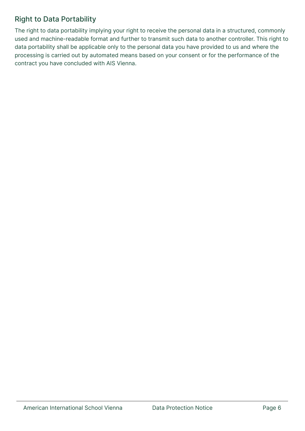#### <span id="page-5-0"></span>Right to Data Portability

The right to data portability implying your right to receive the personal data in a structured, commonly used and machine-readable format and further to transmit such data to another controller. This right to data portability shall be applicable only to the personal data you have provided to us and where the processing is carried out by automated means based on your consent or for the performance of the contract you have concluded with AIS Vienna.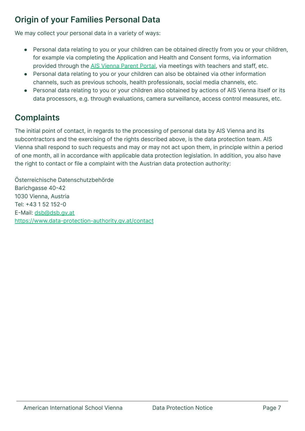# <span id="page-6-0"></span>**Origin of your Families Personal Data**

We may collect your personal data in a variety of ways:

- Personal data relating to you or your children can be obtained directly from you or your children, for example via completing the Application and Health and Consent forms, via information provided through the AIS [Vienna](https://accounts.veracross.eu/aisv/portals/login) Parent Portal, via meetings with teachers and staff, etc.
- Personal data relating to you or your children can also be obtained via other information channels, such as previous schools, health professionals, social media channels, etc.
- Personal data relating to you or your children also obtained by actions of AIS Vienna itself or its data processors, e.g. through evaluations, camera surveillance, access control measures, etc.

# <span id="page-6-1"></span>**Complaints**

The initial point of contact, in regards to the processing of personal data by AIS Vienna and its subcontractors and the exercising of the rights described above, is the data protection team. AIS Vienna shall respond to such requests and may or may not act upon them, in principle within a period of one month, all in accordance with applicable data protection legislation. In addition, you also have the right to contact or file a complaint with the Austrian data protection authority:

Österreichische Datenschutzbehörde Barichgasse 40-42 1030 Vienna, Austria Tel: +43 1 52 152-0 E-Mail: [dsb@dsb.gv.at](mailto:dsb@dsb.gv.at) <https://www.data-protection-authority.gv.at/contact>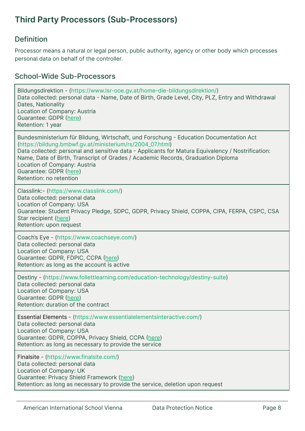# <span id="page-7-0"></span>**Third Party Processors (Sub-Processors)**

#### <span id="page-7-1"></span>Definition

Processor means a natural or legal person, public authority, agency or other body which processes personal data on behalf of the controller.

#### <span id="page-7-2"></span>School-Wide Sub-Processors

Bildungsdirektion - (https://www.lsr-ooe.gv.at/home-die-bildungsdirektion/) Data collected: personal data - Name, Date of Birth, Grade Level, City, PLZ, Entry and Withdrawal Dates, Nationality Location of Company: Austria Guarantee: GDPR ([here\)](https://www.lsr-ooe.gv.at/fileadmin/hauptseite/Datenschutzerklaerung.pdf) Retention: 1 year Bundesministerium für Bildung, Wirtschaft, und Forschung - Education Documentation Act (https://bildung.bmbwf.gv.at/ministerium/rs/2004\_07.html) Data collected: personal and sensitive data - Applicants for Matura Equivalency / Nostrification: Name, Date of Birth, Transcript of Grades / Academic Records, Graduation Diploma Location of Company: Austria Guarantee: GDPR ([here\)](https://www.bmbwf.gv.at/Ministerium/Datenschutz.html) Retention: no retention Classlink:- (https://www.classlink.com/) Data collected: personal data Location of Company: USA Guarantee: Student Privacy Pledge, SDPC, GDPR, Privacy Shield, COPPA, CIPA, FERPA, CSPC, CSA Star recipient ([here\)](https://www.classlink.com/company/privacy) Retention: upon request Coach's Eye - (https://www.coachseye.com/) Data collected: personal data Location of Company: USA Guarantee: GDPR, FDPIC, CCPA ([here\)](https://www.techsmith.com/privacy-policy.html) Retention: as long as the account is active Destiny - (https://www.follettlearning.com/education-technology/destiny-suite) Data collected: personal data Location of Company: USA Guarantee: GDPR ([here\)](https://www.follettlearning.com/policy/privacy-policy-eu) Retention: duration of the contract Essential Elements - (https://www.essentialelementsinteractive.com/) Data collected: personal data Location of Company: USA Guarantee: GDPR, COPPA, Privacy Shield, CCPA ([here\)](https://www.essentialelementsinteractive.com/EEi_Privacy_Policy_Current.pdf) Retention: as long as necessary to provide the service Finalsite - (https://www.finalsite.com/) Data collected: personal data Location of Company: UK Guarantee: Privacy Shield Framework ([here\)](https://www.finalsite.com/privacy-policy) Retention: as long as necessary to provide the service, deletion upon request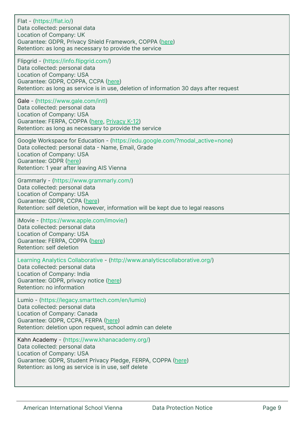| Flat - (https://flat.io/)<br>Data collected: personal data<br>Location of Company: UK<br>Guarantee: GDPR, Privacy Shield Framework, COPPA (here)<br>Retention: as long as necessary to provide the service                             |
|----------------------------------------------------------------------------------------------------------------------------------------------------------------------------------------------------------------------------------------|
| Flipgrid - (https://info.flipgrid.com/)<br>Data collected: personal data<br>Location of Company: USA<br>Guarantee: GDPR, COPPA, CCPA (here)<br>Retention: as long as service is in use, deletion of information 30 days after request  |
| Gale - (https://www.gale.com/intl)<br>Data collected: personal data<br>Location of Company: USA<br>Guarantee: FERPA, COPPA (here, Privacy K-12)<br>Retention: as long as necessary to provide the service                              |
| Google Workspace for Education - (https://edu.google.com/?modal_active=none)<br>Data collected: personal data - Name, Email, Grade<br>Location of Company: USA<br>Guarantee: GDPR (here)<br>Retention: 1 year after leaving AIS Vienna |
| Grammarly - (https://www.grammarly.com/)<br>Data collected: personal data<br>Location of Company: USA<br>Guarantee: GDPR, CCPA (here)<br>Retention: self deletion, however, information will be kept due to legal reasons              |
| iMovie - (https://www.apple.com/imovie/)<br>Data collected: personal data<br>Location of Company: USA<br>Guarantee: FERPA, COPPA (here)<br>Retention: self deletion                                                                    |
| Learning Analytics Collaborative - (http://www.analyticscollaborative.org/)<br>Data collected: personal data<br>Location of Company: India<br>Guarantee: GDPR, privacy notice (here)<br>Retention: no information                      |
| Lumio - (https://legacy.smarttech.com/en/lumio)<br>Data collected: personal data<br>Location of Company: Canada<br>Guarantee: GDPR, CCPA, FERPA (here)<br>Retention: deletion upon request, school admin can delete                    |
| Kahn Academy - (https://www.khanacademy.org/)<br>Data collected: personal data<br>Location of Company: USA<br>Guarantee: GDPR, Student Privacy Pledge, FERPA, COPPA (here)<br>Retention: as long as service is in use, self delete     |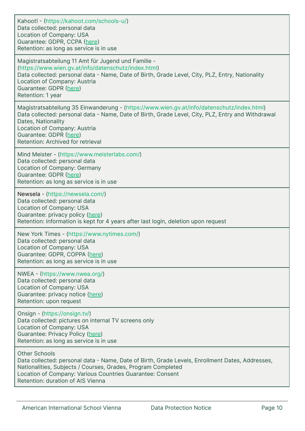| Kahoot! - (https://kahoot.com/schools-u/)<br>Data collected: personal data<br>Location of Company: USA<br>Guarantee: GDPR, CCPA (here)<br>Retention: as long as service is in use                                                                                                                                    |
|----------------------------------------------------------------------------------------------------------------------------------------------------------------------------------------------------------------------------------------------------------------------------------------------------------------------|
| Magistratsabteilung 11 Amt für Jugend und Familie -<br>(https://www.wien.gv.at/info/datenschutz/index.html)<br>Data collected: personal data - Name, Date of Birth, Grade Level, City, PLZ, Entry, Nationality<br>Location of Company: Austria<br>Guarantee: GDPR (here)<br>Retention: 1 year                        |
| Magistratsabteilung 35 Einwanderung - (https://www.wien.gv.at/info/datenschutz/index.html)<br>Data collected: personal data - Name, Date of Birth, Grade Level, City, PLZ, Entry and Withdrawal<br>Dates, Nationality<br>Location of Company: Austria<br>Guarantee: GDPR (here)<br>Retention: Archived for retrieval |
| Mind Meister - (https://www.meisterlabs.com/)<br>Data collected: personal data<br>Location of Company: Germany<br>Guarantee: GDPR (here)<br>Retention: as long as service is in use                                                                                                                                  |
| Newsela - (https://newsela.com/)<br>Data collected: personal data<br>Location of Company: USA<br>Guarantee: privacy policy (here)<br>Retention: information is kept for 4 years after last login, deletion upon request                                                                                              |
| New York Times - (https://www.nytimes.com/)<br>Data collected: personal data<br>Location of Company: USA<br>Guarantee: GDPR, COPPA (here)<br>Retention: as long as service is in use                                                                                                                                 |
| NWEA - (https://www.nwea.org/)<br>Data collected: personal data<br>Location of Company: USA<br>Guarantee: privacy notice (here)<br>Retention: upon request                                                                                                                                                           |
| Onsign - (https://onsign.tv/)<br>Data collected: pictures on internal TV screens only<br>Location of Company: USA<br>Guarantee: Privacy Policy (here)<br>Retention: as long as service is in use                                                                                                                     |
| <b>Other Schools</b><br>Data collected: personal data - Name, Date of Birth, Grade Levels, Enrollment Dates, Addresses,<br>Nationalities, Subjects / Courses, Grades, Program Completed<br>Location of Company: Various Countries Guarantee: Consent<br>Retention: duration of AIS Vienna                            |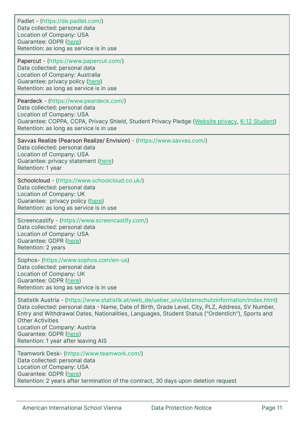| Padlet - (https://de.padlet.com/)<br>Data collected: personal data<br>Location of Company: USA<br>Guarantee: GDPR (here)<br>Retention: as long as service is in use                                                                                                                                                                                                                                                                  |
|--------------------------------------------------------------------------------------------------------------------------------------------------------------------------------------------------------------------------------------------------------------------------------------------------------------------------------------------------------------------------------------------------------------------------------------|
| Papercut - (https://www.papercut.com/)<br>Data collected: personal data<br>Location of Company: Australia<br>Guarantee: privacy policy (here)<br>Retention: as long as service is in use                                                                                                                                                                                                                                             |
| Peardeck - (https://www.peardeck.com/)<br>Data collected: personal data<br>Location of Company: USA<br>Guarantee: COPPA, CCPA, Privacy Shield, Student Privacy Pledge (Website privacy, K-12 Student)<br>Retention: as long as service is in use                                                                                                                                                                                     |
| Savvas Realize (Pearson Realize/ Envision) - (https://www.savvas.com/)<br>Data collected: personal data<br>Location of Company: USA<br>Guarantee: privacy statement (here)<br>Retention: 1 year                                                                                                                                                                                                                                      |
| Schoolcloud - (https://www.schoolcloud.co.uk/)<br>Data collected: personal data<br>Location of Company: UK<br>Guarantee: privacy policy (here)<br>Retention: as long as service is in use                                                                                                                                                                                                                                            |
| Screencastify - (https://www.screencastify.com/)<br>Data collected: personal data<br>Location of Company: USA<br>Guarantee: GDPR (here)<br>Retention: 2 years                                                                                                                                                                                                                                                                        |
| Sophos- (https://www.sophos.com/en-us)<br>Data collected: personal data<br>Location of Company: UK<br>Guarantee: GDPR (here)<br>Retention: as long as service is in use                                                                                                                                                                                                                                                              |
| Statistik Austria - (https://www.statistik.at/web_de/ueber_uns/datenschutzinformation/index.html)<br>Data collected: personal data - Name, Date of Birth, Grade Level, City, PLZ, Address, SV Number,<br>Entry and Withdrawal Dates, Nationalities, Languages, Student Status ("Ordentlich"), Sports and<br><b>Other Activities</b><br>Location of Company: Austria<br>Guarantee: GDPR (here)<br>Retention: 1 year after leaving AIS |
| Teamwork Desk- (https://www.teamwork.com/)<br>Data collected: personal data<br>Location of Company: USA<br>Guarantee: GDPR (here)<br>Retention: 2 years after termination of the contract, 30 days upon deletion request                                                                                                                                                                                                             |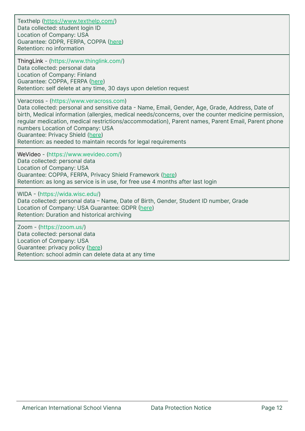Texthelp (<https://www.texthelp.com/>) Data collected: student login ID Location of Company: USA Guarantee: GDPR, FERPA, COPPA [\(here\)](https://s3-eu-west-1.amazonaws.com/savivo-blog-assets/wp-content/uploads/2013/09/Privacy+policy.pdf) Retention: no information

ThingLink - (https://www.thinglink.com/) Data collected: personal data Location of Company: Finland Guarantee: COPPA, FERPA [\(here](https://www.thinglink.com/privacy)) Retention: self delete at any time, 30 days upon deletion request

Veracross - (https://www.veracross.com)

Data collected: personal and sensitive data - Name, Email, Gender, Age, Grade, Address, Date of birth, Medical information (allergies, medical needs/concerns, over the counter medicine permission, regular medication, medical restrictions/accommodation), Parent names, Parent Email, Parent phone numbers Location of Company: USA Guarantee: Privacy Shield ([here\)](https://www.veracross.com/privacy-policy/#:~:text=We%20are%20committed%20to%20protecting%20the%20privacy%20of%20children.,of%20majority%20in%20your%20jurisdiction.)

Retention: as needed to maintain records for legal requirements

WeVideo - (https://www.wevideo.com/) Data collected: personal data Location of Company: USA Guarantee: COPPA, FERPA, Privacy Shield Framework ([here\)](https://www.wevideo.com/eduprivacy) Retention: as long as service is in use, for free use 4 months after last login

WIDA - (https://wida.wisc.edu/) Data collected: personal data – Name, Date of Birth, Gender, Student ID number, Grade Location of Company: USA Guarantee: GDPR [\(here](https://www.wceps.org/Store/PrivacyPolicy)) Retention: Duration and historical archiving

Zoom - (https://zoom.us/) Data collected: personal data Location of Company: USA Guarantee: privacy policy [\(here](https://explore.zoom.us/en/schools-privacy-statement/?_ga=2.144044919.331436930.1642060941-453081828.1642060941)) Retention: school admin can delete data at any time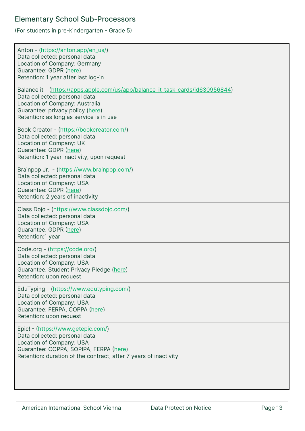#### <span id="page-12-0"></span>Elementary School Sub-Processors

(For students in pre-kindergarten - Grade 5)

| Anton - (https://anton.app/en_us/)<br>Data collected: personal data<br>Location of Company: Germany<br>Guarantee: GDPR (here)<br>Retention: 1 year after last log-in                                                             |
|----------------------------------------------------------------------------------------------------------------------------------------------------------------------------------------------------------------------------------|
| Balance it - (https://apps.apple.com/us/app/balance-it-task-cards/id630956844)<br>Data collected: personal data<br>Location of Company: Australia<br>Guarantee: privacy policy (here)<br>Retention: as long as service is in use |
| Book Creator - (https://bookcreator.com/)<br>Data collected: personal data<br>Location of Company: UK<br>Guarantee: GDPR (here)<br>Retention: 1 year inactivity, upon request                                                    |
| Brainpop Jr. - (https://www.brainpop.com/)<br>Data collected: personal data<br>Location of Company: USA<br>Guarantee: GDPR (here)<br>Retention: 2 years of inactivity                                                            |
| Class Dojo - (https://www.classdojo.com/)<br>Data collected: personal data<br>Location of Company: USA<br>Guarantee: GDPR (here)<br>Retention:1 year                                                                             |
| Code.org - (https://code.org/)<br>Data collected: personal data<br>Location of Company: USA<br>Guarantee: Student Privacy Pledge (here)<br>Retention: upon request                                                               |
| EduTyping - (https://www.edutyping.com/)<br>Data collected: personal data<br>Location of Company: USA<br>Guarantee: FERPA, COPPA (here)<br>Retention: upon request                                                               |
| Epic! - (https://www.getepic.com/)<br>Data collected: personal data<br>Location of Company: USA<br>Guarantee: COPPA, SOPIPA, FERPA (here)<br>Retention: duration of the contract, after 7 years of inactivity                    |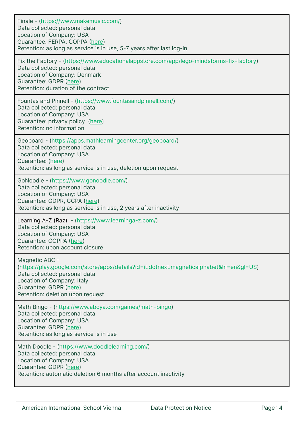| Finale - (https://www.makemusic.com/)<br>Data collected: personal data<br>Location of Company: USA<br>Guarantee: FERPA, COPPA (here)<br>Retention: as long as service is in use, 5-7 years after last log-in                         |
|--------------------------------------------------------------------------------------------------------------------------------------------------------------------------------------------------------------------------------------|
| Fix the Factory - (https://www.educationalappstore.com/app/lego-mindstorms-fix-factory)<br>Data collected: personal data<br>Location of Company: Denmark<br>Guarantee: GDPR (here)<br>Retention: duration of the contract            |
| Fountas and Pinnell - (https://www.fountasandpinnell.com/)<br>Data collected: personal data<br>Location of Company: USA<br>Guarantee: privacy policy (here)<br>Retention: no information                                             |
| Geoboard - (https://apps.mathlearningcenter.org/geoboard/)<br>Data collected: personal data<br>Location of Company: USA<br>Guarantee: (here)<br>Retention: as long as service is in use, deletion upon request                       |
| GoNoodle - (https://www.gonoodle.com/)<br>Data collected: personal data<br>Location of Company: USA<br>Guarantee: GDPR, CCPA (here)<br>Retention: as long as service is in use, 2 years after inactivity                             |
| Learning A-Z (Raz) - (https://www.learninga-z.com/)<br>Data collected: personal data<br>Location of Company: USA<br>Guarantee: COPPA (here)<br>Retention: upon account closure                                                       |
| Magnetic ABC -<br>(https://play.google.com/store/apps/details?id=it.dotnext.magneticalphabet&hl=en≷=US)<br>Data collected: personal data<br>Location of Company: Italy<br>Guarantee: GDPR (here)<br>Retention: deletion upon request |
| Math Bingo - (https://www.abcya.com/games/math-bingo)<br>Data collected: personal data<br>Location of Company: USA<br>Guarantee: GDPR (here)<br>Retention: as long as service is in use                                              |
| Math Doodle - (https://www.doodlelearning.com/)<br>Data collected: personal data<br>Location of Company: USA<br>Guarantee: GDPR (here)<br>Retention: automatic deletion 6 months after account inactivity                            |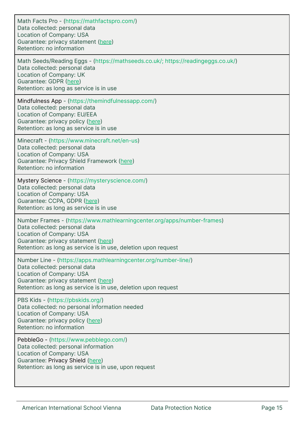| Math Facts Pro - (https://mathfactspro.com/)<br>Data collected: personal data<br>Location of Company: USA<br>Guarantee: privacy statement (here)<br>Retention: no information                                                                 |
|-----------------------------------------------------------------------------------------------------------------------------------------------------------------------------------------------------------------------------------------------|
| Math Seeds/Reading Eggs - (https://mathseeds.co.uk/; https://readingeggs.co.uk/)<br>Data collected: personal data<br>Location of Company: UK<br>Guarantee: GDPR (here)<br>Retention: as long as service is in use                             |
| Mindfulness App - (https://themindfulnessapp.com/)<br>Data collected: personal data<br>Location of Company: EU/EEA<br>Guarantee: privacy policy (here)<br>Retention: as long as service is in use                                             |
| Minecraft - (https://www.minecraft.net/en-us)<br>Data collected: personal data<br>Location of Company: USA<br>Guarantee: Privacy Shield Framework (here)<br>Retention: no information                                                         |
| Mystery Science - (https://mysteryscience.com/)<br>Data collected: personal data<br>Location of Company: USA<br>Guarantee: CCPA, GDPR (here)<br>Retention: as long as service is in use                                                       |
| Number Frames - (https://www.mathlearningcenter.org/apps/number-frames)<br>Data collected: personal data<br>Location of Company: USA<br>Guarantee: privacy statement (here)<br>Retention: as long as service is in use, deletion upon request |
| Number Line - (https://apps.mathlearningcenter.org/number-line/)<br>Data collected: personal data<br>Location of Company: USA<br>Guarantee: privacy statement (here)<br>Retention: as long as service is in use, deletion upon request        |
| PBS Kids - (https://pbskids.org/)<br>Data collected: no personal information needed<br>Location of Company: USA<br>Guarantee: privacy policy (here)<br>Retention: no information                                                              |
| PebbleGo - (https://www.pebblego.com/)<br>Data collected: personal information<br>Location of Company: USA<br>Guarantee: Privacy Shield (here)<br>Retention: as long as service is in use, upon request                                       |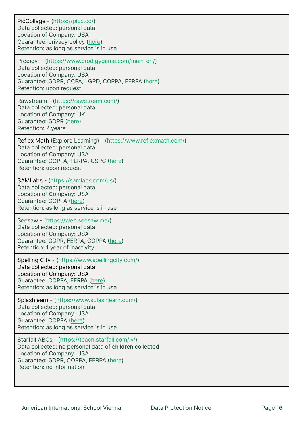| PicCollage - (https://picc.co/)<br>Data collected: personal data<br>Location of Company: USA<br>Guarantee: privacy policy (here)<br>Retention: as long as service is in use                                 |
|-------------------------------------------------------------------------------------------------------------------------------------------------------------------------------------------------------------|
| Prodigy - (https://www.prodigygame.com/main-en/)<br>Data collected: personal data<br>Location of Company: USA<br>Guarantee: GDPR, CCPA, LGPD, COPPA, FERPA (here)<br>Retention: upon request                |
| Rawstream - (https://rawstream.com/)<br>Data collected: personal data<br>Location of Company: UK<br>Guarantee: GDPR (here)<br>Retention: 2 years                                                            |
| Reflex Math (Explore Learning) - (https://www.reflexmath.com/)<br>Data collected: personal data<br>Location of Company: USA<br>Guarantee: COPPA, FERPA, CSPC (here)<br>Retention: upon request              |
| SAMLabs - (https://samlabs.com/us/)<br>Data collected: personal data<br>Location of Company: USA<br>Guarantee: COPPA (here)<br>Retention: as long as service is in use                                      |
| Seesaw - (https://web.seesaw.me/)<br>Data collected: personal data<br>Location of Company: USA<br>Guarantee: GDPR, FERPA, COPPA (here)<br>Retention: 1 year of inactivity                                   |
| Spelling City - (https://www.spellingcity.com/)<br>Data collected: personal data<br>Location of Company: USA<br>Guarantee: COPPA, FERPA (here)<br>Retention: as long as service is in use                   |
| Splashlearn - (https://www.splashlearn.com/)<br>Data collected: personal data<br>Location of Company: USA<br>Guarantee: COPPA (here)<br>Retention: as long as service is in use                             |
| Starfall ABCs - (https://teach.starfall.com/lv/)<br>Data collected: no personal data of children collected<br>Location of Company: USA<br>Guarantee: GDPR, COPPA, FERPA (here)<br>Retention: no information |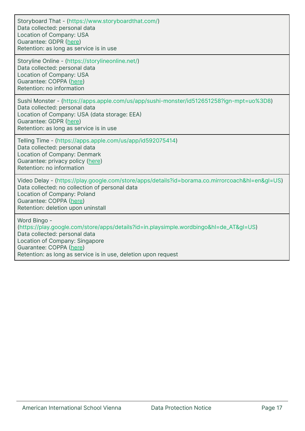Storyboard That - (https://www.storyboardthat.com/) Data collected: personal data Location of Company: USA Guarantee: GDPR ([here\)](https://www.storyboardthat.com/about/privacy) Retention: as long as service is in use

Storyline Online - (https://storylineonline.net/) Data collected: personal data Location of Company: USA Guarantee: COPPA [\(here\)](https://storylineonline.net/privacy-policy/) Retention: no information

Sushi Monster - (https://apps.apple.com/us/app/sushi-monster/id512651258?ign-mpt=uo%3D8) Data collected: personal data Location of Company: USA (data storage: EEA) Guarantee: GDPR ([here\)](https://www.hmhco.com/privacy-policy) Retention: as long as service is in use

Telling Time - (https://apps.apple.com/us/app/id592075414) Data collected: personal data Location of Company: Denmark Guarantee: privacy policy [\(here](https://s3-eu-west-1.amazonaws.com/savivo-blog-assets/wp-content/uploads/2013/09/Privacy+policy.pdf)) Retention: no information

Video Delay - (https://play.google.com/store/apps/details?id=borama.co.mirrorcoach&hl=en&gl=US) Data collected: no collection of personal data Location of Company: Poland Guarantee: COPPA [\(here\)](https://borama.co/videodelayprivacy.html) Retention: deletion upon uninstall

Word Bingo -

(https://play.google.com/store/apps/details?id=in.playsimple.wordbingo&hl=de\_AT&gl=US) Data collected: personal data Location of Company: Singapore Guarantee: COPPA [\(here\)](https://playsimple.in/privacy) Retention: as long as service is in use, deletion upon request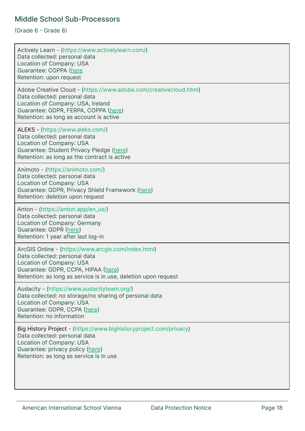#### <span id="page-17-0"></span>Middle School Sub-Processors

(Grade 6 - Grade 8)

| Actively Learn - (https://www.activelylearn.com/)<br>Data collected: personal data<br>Location of Company: USA<br>Guarantee: COPPA (here<br>Retention: upon request                                                        |
|----------------------------------------------------------------------------------------------------------------------------------------------------------------------------------------------------------------------------|
| Adobe Creative Cloud - (https://www.adobe.com/creativecloud.html)<br>Data collected: personal data<br>Location of Company: USA, Ireland<br>Guarantee: GDPR, FERPA, COPPA (here)<br>Retention: as long as account is active |
| ALEKS - (https://www.aleks.com/)<br>Data collected: personal data<br>Location of Company: USA<br>Guarantee: Student Privacy Pledge (here)<br>Retention: as long as the contract is active                                  |
| Animoto - (https://animoto.com/)<br>Data collected: personal data<br>Location of Company: USA<br>Guarantee: GDPR, Privacy Shield Framework (here)<br>Retention: deletion upon request                                      |
| Anton - (https://anton.app/en_us/)<br>Data collected: personal data<br>Location of Company: Germany<br>Guarantee: GDPR (here)<br>Retention: 1 year after last log-in                                                       |
| ArcGIS Online - (https://www.arcgis.com/index.html)<br>Data collected: personal data<br>Location of Company: USA<br>Guarantee: GDPR, CCPA, HIPAA (here)<br>Retention: as long as service is in use, deletion upon request  |
| Audacity - (https://www.audacityteam.org/)<br>Data collected: no storage/no sharing of personal data<br>Location of Company: USA<br>Guarantee: GDPR, CCPA (here)<br>Retention: no information                              |
| Big History Project - (https://www.bighistoryproject.com/privacy)<br>Data collected: personal data<br>Location of Company: USA<br>Guarantee: privacy policy (here)<br>Retention: as long as service is in use              |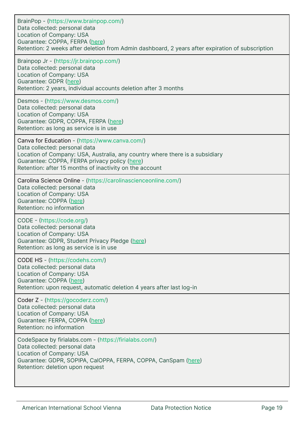| BrainPop - (https://www.brainpop.com/)<br>Data collected: personal data<br>Location of Company: USA<br>Guarantee: COPPA, FERPA (here)<br>Retention: 2 weeks after deletion from Admin dashboard, 2 years after expiration of subscription                                   |
|-----------------------------------------------------------------------------------------------------------------------------------------------------------------------------------------------------------------------------------------------------------------------------|
| Brainpop Jr - (https://jr.brainpop.com/)<br>Data collected: personal data<br>Location of Company: USA<br>Guarantee: GDPR (here)<br>Retention: 2 years, individual accounts deletion after 3 months                                                                          |
| Desmos - (https://www.desmos.com/)<br>Data collected: personal data<br>Location of Company: USA<br>Guarantee: GDPR, COPPA, FERPA (here)<br>Retention: as long as service is in use                                                                                          |
| Canva for Education - (https://www.canva.com/)<br>Data collected: personal data<br>Location of Company: USA, Australia, any country where there is a subsidiary<br>Guarantee: COPPA, FERPA privacy policy (here)<br>Retention: after 15 months of inactivity on the account |
| Carolina Science Online - (https://carolinascienceonline.com/)<br>Data collected: personal data<br>Location of Company: USA<br>Guarantee: COPPA (here)<br>Retention: no information                                                                                         |
| CODE - (https://code.org/)<br>Data collected: personal data<br>Location of Company: USA<br>Guarantee: GDPR, Student Privacy Pledge (here)<br>Retention: as long as service is in use                                                                                        |
| CODE HS - (https://codehs.com/)<br>Data collected: personal data<br>Location of Company: USA<br>Guarantee: COPPA (here)<br>Retention: upon request, automatic deletion 4 years after last log-in                                                                            |
| Coder Z - (https://gocoderz.com/)<br>Data collected: personal data<br>Location of Company: USA<br>Guarantee: FERPA, COPPA (here)<br>Retention: no information                                                                                                               |
| CodeSpace by firialabs.com - (https://firialabs.com/)<br>Data collected: personal data<br>Location of Company: USA<br>Guarantee: GDPR, SOPIPA, CalOPPA, FERPA, COPPA, CanSpam (here)<br>Retention: deletion upon request                                                    |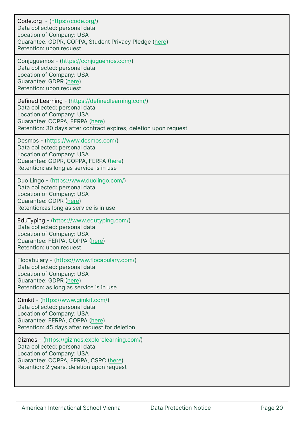| Code.org - (https://code.org/)<br>Data collected: personal data<br>Location of Company: USA<br>Guarantee: GDPR, COPPA, Student Privacy Pledge (here)<br>Retention: upon request                                      |
|----------------------------------------------------------------------------------------------------------------------------------------------------------------------------------------------------------------------|
| Conjuguemos - (https://conjuguemos.com/)<br>Data collected: personal data<br>Location of Company: USA<br>Guarantee: GDPR (here)<br>Retention: upon request                                                           |
| Defined Learning - (https://definedlearning.com/)<br>Data collected: personal data<br>Location of Company: USA<br>Guarantee: COPPA, FERPA (here)<br>Retention: 30 days after contract expires, deletion upon request |
| Desmos - (https://www.desmos.com/)<br>Data collected: personal data<br>Location of Company: USA<br>Guarantee: GDPR, COPPA, FERPA (here)<br>Retention: as long as service is in use                                   |
| Duo Lingo - (https://www.duolingo.com/)<br>Data collected: personal data<br>Location of Company: USA<br>Guarantee: GDPR (here)<br>Retention:as long as service is in use                                             |
| EduTyping - (https://www.edutyping.com/)<br>Data collected: personal data<br>Location of Company: USA<br>Guarantee: FERPA, COPPA (here)<br>Retention: upon request                                                   |
| Flocabulary - (https://www.flocabulary.com/)<br>Data collected: personal data<br>Location of Company: USA<br>Guarantee: GDPR (here)<br>Retention: as long as service is in use                                       |
| Gimkit - (https://www.gimkit.com/)<br>Data collected: personal data<br>Location of Company: USA<br>Guarantee: FERPA, COPPA (here)<br>Retention: 45 days after request for deletion                                   |
| Gizmos - (https://gizmos.explorelearning.com/)<br>Data collected: personal data<br>Location of Company: USA<br>Guarantee: COPPA, FERPA, CSPC (here)<br>Retention: 2 years, deletion upon request                     |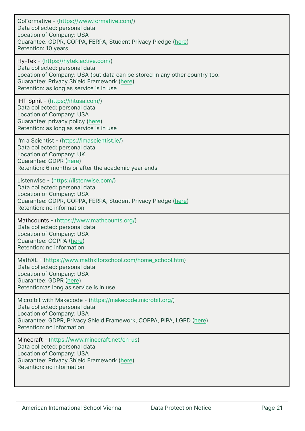| GoFormative - (https://www.formative.com/)<br>Data collected: personal data<br>Location of Company: USA<br>Guarantee: GDPR, COPPA, FERPA, Student Privacy Pledge (here)<br>Retention: 10 years                                               |
|----------------------------------------------------------------------------------------------------------------------------------------------------------------------------------------------------------------------------------------------|
| Hy-Tek - (https://hytek.active.com/)<br>Data collected: personal data<br>Location of Company: USA (but data can be stored in any other country too.<br>Guarantee: Privacy Shield Framework (here)<br>Retention: as long as service is in use |
| IHT Spirit - (https://ihtusa.com/)<br>Data collected: personal data<br>Location of Company: USA<br>Guarantee: privacy policy (here)<br>Retention: as long as service is in use                                                               |
| I'm a Scientist - (https://imascientist.ie/)<br>Data collected: personal data<br>Location of Company: UK<br>Guarantee: GDPR (here)<br>Retention: 6 months or after the academic year ends                                                    |
| Listenwise - (https://listenwise.com/)<br>Data collected: personal data<br>Location of Company: USA<br>Guarantee: GDPR, COPPA, FERPA, Student Privacy Pledge (here)<br>Retention: no information                                             |
| Mathcounts - (https://www.mathcounts.org/)<br>Data collected: personal data<br>Location of Company: USA<br>Guarantee: COPPA (here)<br>Retention: no information                                                                              |
| MathXL - (https://www.mathxlforschool.com/home_school.htm)<br>Data collected: personal data<br>Location of Company: USA<br>Guarantee: GDPR (here)<br>Retention:as long as service is in use                                                  |
| Micro:bit with Makecode - (https://makecode.microbit.org/)<br>Data collected: personal data<br>Location of Company: USA<br>Guarantee: GDPR, Privacy Shield Framework, COPPA, PIPA, LGPD (here)<br>Retention: no information                  |
| Minecraft - (https://www.minecraft.net/en-us)<br>Data collected: personal data<br>Location of Company: USA<br>Guarantee: Privacy Shield Framework (here)<br>Retention: no information                                                        |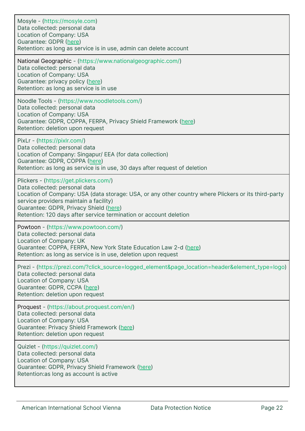| Mosyle - (https://mosyle.com)<br>Data collected: personal data<br>Location of Company: USA<br>Guarantee: GDPR (here)<br>Retention: as long as service is in use, admin can delete account                                                                                                                                               |
|-----------------------------------------------------------------------------------------------------------------------------------------------------------------------------------------------------------------------------------------------------------------------------------------------------------------------------------------|
| National Geographic - (https://www.nationalgeographic.com/)<br>Data collected: personal data<br>Location of Company: USA<br>Guarantee: privacy policy (here)<br>Retention: as long as service is in use                                                                                                                                 |
| Noodle Tools - (https://www.noodletools.com/)<br>Data collected: personal data<br>Location of Company: USA<br>Guarantee: GDPR, COPPA, FERPA, Privacy Shield Framework (here)<br>Retention: deletion upon request                                                                                                                        |
| PixLr - (https://pixlr.com/)<br>Data collected: personal data<br>Location of Company: Singapur/ EEA (for data collection)<br>Guarantee: GDPR, COPPA (here)<br>Retention: as long as service is in use, 30 days after request of deletion                                                                                                |
| Plickers - (https://get.plickers.com/)<br>Data collected: personal data<br>Location of Company: USA (data storage: USA, or any other country where Plickers or its third-party<br>service providers maintain a facility)<br>Guarantee: GDPR, Privacy Shield (here)<br>Retention: 120 days after service termination or account deletion |
| Powtoon - (https://www.powtoon.com/)<br>Data collected: personal data<br>Location of Company: UK<br>Guarantee: COPPA, FERPA, New York State Education Law 2-d (here)<br>Retention: as long as service is in use, deletion upon request                                                                                                  |
| Prezi - (https://prezi.com/?click_source=logged_element&page_location=header&element_type=logo)<br>Data collected: personal data<br>Location of Company: USA<br>Guarantee: GDPR, CCPA (here)<br>Retention: deletion upon request                                                                                                        |
| Proquest - (https://about.proquest.com/en/)<br>Data collected: personal data<br>Location of Company: USA<br>Guarantee: Privacy Shield Framework (here)<br>Retention: deletion upon request                                                                                                                                              |
| Quizlet - (https://quizlet.com/)<br>Data collected: personal data<br>Location of Company: USA<br>Guarantee: GDPR, Privacy Shield Framework (here)<br>Retention: as long as account is active                                                                                                                                            |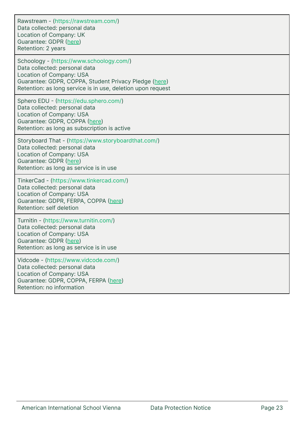Rawstream - (https://rawstream.com/) Data collected: personal data Location of Company: UK Guarantee: GDPR ([here\)](https://rawstream.com/gdpr/) Retention: 2 years

Schoology - (https://www.schoology.com/) Data collected: personal data Location of Company: USA Guarantee: GDPR, COPPA, Student Privacy Pledge [\(here](https://www.powerschool.com/privacy/)) Retention: as long service is in use, deletion upon request

Sphero EDU - (https://edu.sphero.com/) Data collected: personal data Location of Company: USA Guarantee: GDPR, COPPA ([here\)](https://edu.sphero.com/child-policy) Retention: as long as subscription is active

Storyboard That - (https://www.storyboardthat.com/) Data collected: personal data Location of Company: USA Guarantee: GDPR ([here\)](https://www.storyboardthat.com/about/privacy) Retention: as long as service is in use

TinkerCad - (https://www.tinkercad.com/) Data collected: personal data Location of Company: USA Guarantee: GDPR, FERPA, COPPA [\(here\)](https://www.tinkercad.com/privacy) Retention: self deletion

Turnitin - (https://www.turnitin.com/) Data collected: personal data Location of Company: USA Guarantee: GDPR ([here\)](https://www.turnitin.com/privacy) Retention: as long as service is in use

Vidcode - (https://www.vidcode.com/) Data collected: personal data Location of Company: USA Guarantee: GDPR, COPPA, FERPA [\(here\)](https://www.vidcode.com/privacy-policy) Retention: no information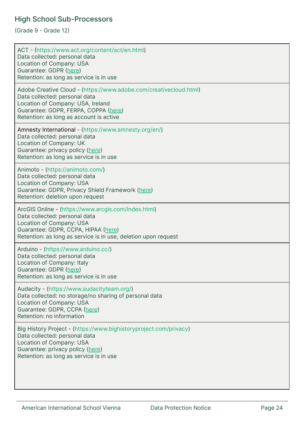#### <span id="page-23-0"></span>High School Sub-Processors

(Grade 9 - Grade 12)

| ACT - (https://www.act.org/content/act/en.html)<br>Data collected: personal data<br>Location of Company: USA<br>Guarantee: GDPR (here)<br>Retention: as long as service is in use                                          |
|----------------------------------------------------------------------------------------------------------------------------------------------------------------------------------------------------------------------------|
| Adobe Creative Cloud - (https://www.adobe.com/creativecloud.html)<br>Data collected: personal data<br>Location of Company: USA, Ireland<br>Guarantee: GDPR, FERPA, COPPA (here)<br>Retention: as long as account is active |
| Amnesty International - (https://www.amnesty.org/en/)<br>Data collected: personal data<br>Location of Company: UK<br>Guarantee: privacy policy (here)<br>Retention: as long as service is in use                           |
| Animoto - (https://animoto.com/)<br>Data collected: personal data<br>Location of Company: USA<br>Guarantee: GDPR, Privacy Shield Framework (here)<br>Retention: deletion upon request                                      |
| ArcGIS Online - (https://www.arcgis.com/index.html)<br>Data collected: personal data<br>Location of Company: USA<br>Guarantee: GDPR, CCPA, HIPAA (here)<br>Retention: as long as service is in use, deletion upon request  |
| Arduino - (https://www.arduino.cc/)<br>Data collected: personal data<br>Location of Company: Italy<br>Guarantee: GDPR (here)<br>Retention: as long as service is in use                                                    |
| Audacity - (https://www.audacityteam.org/)<br>Data collected: no storage/no sharing of personal data<br>Location of Company: USA<br>Guarantee: GDPR, CCPA (here)<br>Retention: no information                              |
| Big History Project - (https://www.bighistoryproject.com/privacy)<br>Data collected: personal data<br>Location of Company: USA<br>Guarantee: privacy policy (here)<br>Retention: as long as service is in use              |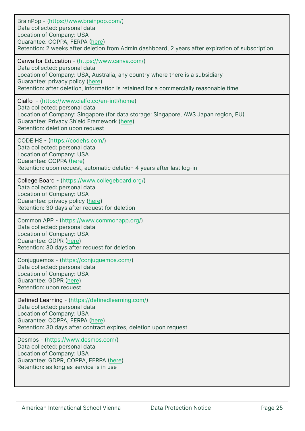| BrainPop - (https://www.brainpop.com/)<br>Data collected: personal data<br>Location of Company: USA<br>Guarantee: COPPA, FERPA (here)<br>Retention: 2 weeks after deletion from Admin dashboard, 2 years after expiration of subscription                                                    |
|----------------------------------------------------------------------------------------------------------------------------------------------------------------------------------------------------------------------------------------------------------------------------------------------|
| Canva for Education - (https://www.canva.com/)<br>Data collected: personal data<br>Location of Company: USA, Australia, any country where there is a subsidiary<br>Guarantee: privacy policy (here)<br>Retention: after deletion, information is retained for a commercially reasonable time |
| Cialfo - (https://www.cialfo.co/en-intl/home)<br>Data collected: personal data<br>Location of Company: Singapore (for data storage: Singapore, AWS Japan region, EU)<br>Guarantee: Privacy Shield Framework (here)<br>Retention: deletion upon request                                       |
| CODE HS - (https://codehs.com/)<br>Data collected: personal data<br>Location of Company: USA<br>Guarantee: COPPA (here)<br>Retention: upon request, automatic deletion 4 years after last log-in                                                                                             |
| College Board - (https://www.collegeboard.org/)<br>Data collected: personal data<br>Location of Company: USA<br>Guarantee: privacy policy (here)<br>Retention: 30 days after request for deletion                                                                                            |
| Common APP - (https://www.commonapp.org/)<br>Data collected: personal data<br>Location of Company: USA<br>Guarantee: GDPR (here)<br>Retention: 30 days after request for deletion                                                                                                            |
| Conjuguemos - (https://conjuguemos.com/)<br>Data collected: personal data<br>Location of Company: USA<br>Guarantee: GDPR (here)<br>Retention: upon request                                                                                                                                   |
| Defined Learning - (https://definedlearning.com/)<br>Data collected: personal data<br>Location of Company: USA<br>Guarantee: COPPA, FERPA (here)<br>Retention: 30 days after contract expires, deletion upon request                                                                         |
| Desmos - (https://www.desmos.com/)<br>Data collected: personal data<br>Location of Company: USA<br>Guarantee: GDPR, COPPA, FERPA (here)<br>Retention: as long as service is in use                                                                                                           |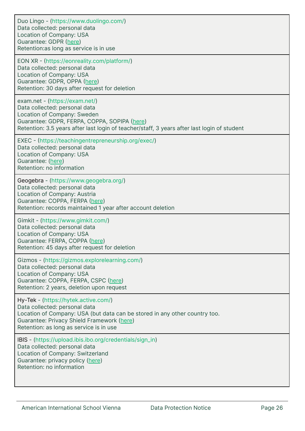Duo Lingo - (https://www.duolingo.com/) Data collected: personal data Location of Company: USA Guarantee: GDPR ([here\)](https://www.duolingo.com/privacy) Retention:as long as service is in use EON XR - (https://eonreality.com/platform/) Data collected: personal data Location of Company: USA Guarantee: GDPR, OPPA ([here\)](https://eonreality.com/privacy-policy/) Retention: 30 days after request for deletion exam.net - (https://exam.net/) Data collected: personal data Location of Company: Sweden Guarantee: GDPR, FERPA, COPPA, SOPIPA [\(here\)](https://exam.net/privacy-center) Retention: 3.5 years after last login of teacher/staff, 3 years after last login of student EXEC - (https://teachingentrepreneurship.org/exec/) Data collected: personal data Location of Company: USA Guarantee: [\(here\)](https://www.teachingentrepreneurship.org/privacy-policy/) Retention: no information Geogebra - (https://www.geogebra.org/) Data collected: personal data Location of Company: Austria Guarantee: COPPA, FERPA [\(here](https://www.geogebra.org/privacy)) Retention: records maintained 1 year after account deletion Gimkit - (https://www.gimkit.com/) Data collected: personal data Location of Company: USA Guarantee: FERPA, COPPA [\(here](https://www.gimkit.com/privacy)) Retention: 45 days after request for deletion Gizmos - (https://gizmos.explorelearning.com/) Data collected: personal data Location of Company: USA Guarantee: COPPA, FERPA, CSPC [\(here\)](https://gizmos.explorelearning.com/index.cfm?method=Controller.dspPrivacy) Retention: 2 years, deletion upon request Hy-Tek - (https://hytek.active.com/) Data collected: personal data Location of Company: USA (but data can be stored in any other country too. Guarantee: Privacy Shield Framework ([here\)](https://www.activenetwork.com/information/processor-privacy-policy) Retention: as long as service is in use IBIS - (https://upload.ibis.ibo.org/credentials/sign\_in) Data collected: personal data Location of Company: Switzerland Guarantee: privacy policy [\(here](https://upload.ibis.ibo.org/terms)) Retention: no information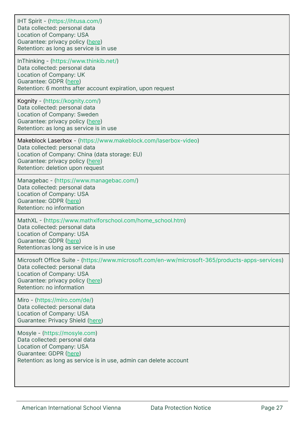| IHT Spirit - (https://ihtusa.com/)<br>Data collected: personal data<br>Location of Company: USA<br>Guarantee: privacy policy (here)<br>Retention: as long as service is in use                                                |
|-------------------------------------------------------------------------------------------------------------------------------------------------------------------------------------------------------------------------------|
| InThinking - (https://www.thinkib.net/)<br>Data collected: personal data<br>Location of Company: UK<br>Guarantee: GDPR (here)<br>Retention: 6 months after account expiration, upon request                                   |
| Kognity - (https://kognity.com/)<br>Data collected: personal data<br>Location of Company: Sweden<br>Guarantee: privacy policy (here)<br>Retention: as long as service is in use                                               |
| Makeblock Laserbox - (https://www.makeblock.com/laserbox-video)<br>Data collected: personal data<br>Location of Company: China (data storage: EU)<br>Guarantee: privacy policy (here)<br>Retention: deletion upon request     |
| Managebac - (https://www.managebac.com/)<br>Data collected: personal data<br>Location of Company: USA<br>Guarantee: GDPR (here)<br>Retention: no information                                                                  |
| MathXL - (https://www.mathxlforschool.com/home_school.htm)<br>Data collected: personal data<br>Location of Company: USA<br>Guarantee: GDPR (here)<br>Retention:as long as service is in use                                   |
| Microsoft Office Suite - (https://www.microsoft.com/en-ww/microsoft-365/products-apps-services)<br>Data collected: personal data<br>Location of Company: USA<br>Guarantee: privacy policy (here)<br>Retention: no information |
| Miro - (https://miro.com/de/)<br>Data collected: personal data<br>Location of Company: USA<br>Guarantee: Privacy Shield (here)                                                                                                |
| Mosyle - (https://mosyle.com)<br>Data collected: personal data<br>Location of Company: USA<br>Guarantee: GDPR (here)<br>Retention: as long as service is in use, admin can delete account                                     |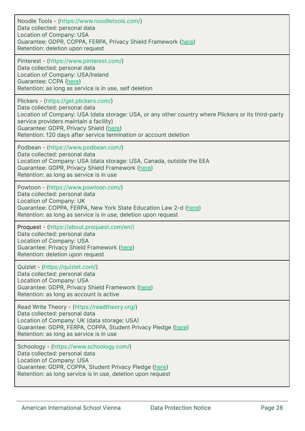| Noodle Tools - (https://www.noodletools.com/)<br>Data collected: personal data<br>Location of Company: USA<br>Guarantee: GDPR, COPPA, FERPA, Privacy Shield Framework (here)<br>Retention: deletion upon request                                                                                                                        |
|-----------------------------------------------------------------------------------------------------------------------------------------------------------------------------------------------------------------------------------------------------------------------------------------------------------------------------------------|
| Pinterest - (https://www.pinterest.com/)<br>Data collected: personal data<br>Location of Company: USA/Ireland<br>Guarantee: CCPA (here)<br>Retention: as long as service is in use, self deletion                                                                                                                                       |
| Plickers - (https://get.plickers.com/)<br>Data collected: personal data<br>Location of Company: USA (data storage: USA, or any other country where Plickers or its third-party<br>service providers maintain a facility)<br>Guarantee: GDPR, Privacy Shield (here)<br>Retention: 120 days after service termination or account deletion |
| Podbean - (https://www.podbean.com/)<br>Data collected: personal data<br>Location of Company: USA (data storage: USA, Canada, outside the EEA<br>Guarantee: GDPR, Privacy Shield Framework (here)<br>Retention: as long as service is in use                                                                                            |
| Powtoon - (https://www.powtoon.com/)<br>Data collected: personal data<br>Location of Company: UK<br>Guarantee: COPPA, FERPA, New York State Education Law 2-d (here)<br>Retention: as long as service is in use, deletion upon request                                                                                                  |
| Proquest - (https://about.proquest.com/en/)<br>Data collected: personal data<br>Location of Company: USA<br>Guarantee: Privacy Shield Framework (here)<br>Retention: deletion upon request                                                                                                                                              |
| Quizlet - (https://quizlet.com/)<br>Data collected: personal data<br>Location of Company: USA<br>Guarantee: GDPR, Privacy Shield Framework (here)<br>Retention: as long as account is active                                                                                                                                            |
| Read Write Theory - (https://readtheory.org/)<br>Data collected: personal data<br>Location of Company: UK (data storage: USA)<br>Guarantee: GDPR, FERPA, COPPA, Student Privacy Pledge (here)<br>Retention: as long as service is in use                                                                                                |
| Schoology - (https://www.schoology.com/)<br>Data collected: personal data<br>Location of Company: USA<br>Guarantee: GDPR, COPPA, Student Privacy Pledge (here)<br>Retention: as long service is in use, deletion upon request                                                                                                           |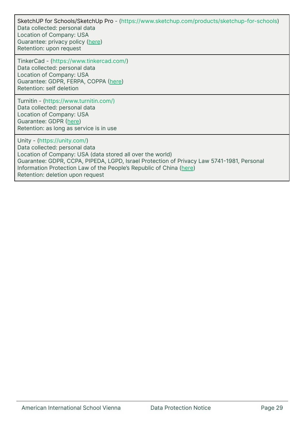SketchUP for Schools/SketchUp Pro - (https://www.sketchup.com/products/sketchup-for-schools) Data collected: personal data Location of Company: USA Guarantee: privacy policy [\(here](https://www.sketchup.com/legal/privacy-notice)) Retention: upon request

TinkerCad - (https://www.tinkercad.com/) Data collected: personal data Location of Company: USA Guarantee: GDPR, FERPA, COPPA [\(here\)](https://www.tinkercad.com/privacy) Retention: self deletion

Turnitin - (https://www.turnitin.com/) Data collected: personal data Location of Company: USA Guarantee: GDPR ([here\)](https://www.turnitin.com/privacy) Retention: as long as service is in use

Unity - (https://unity.com/) Data collected: personal data Location of Company: USA (data stored all over the world) Guarantee: GDPR, CCPA, PIPEDA, LGPD, Israel Protection of Privacy Law 5741-1981, Personal Information Protection Law of the People's Republic of China ([here\)](https://unity3d.com/legal/privacy-policy?_ga=2.58412009.270517688.1641984005-1101707150.1641984005101707150.1641984005) Retention: deletion upon request